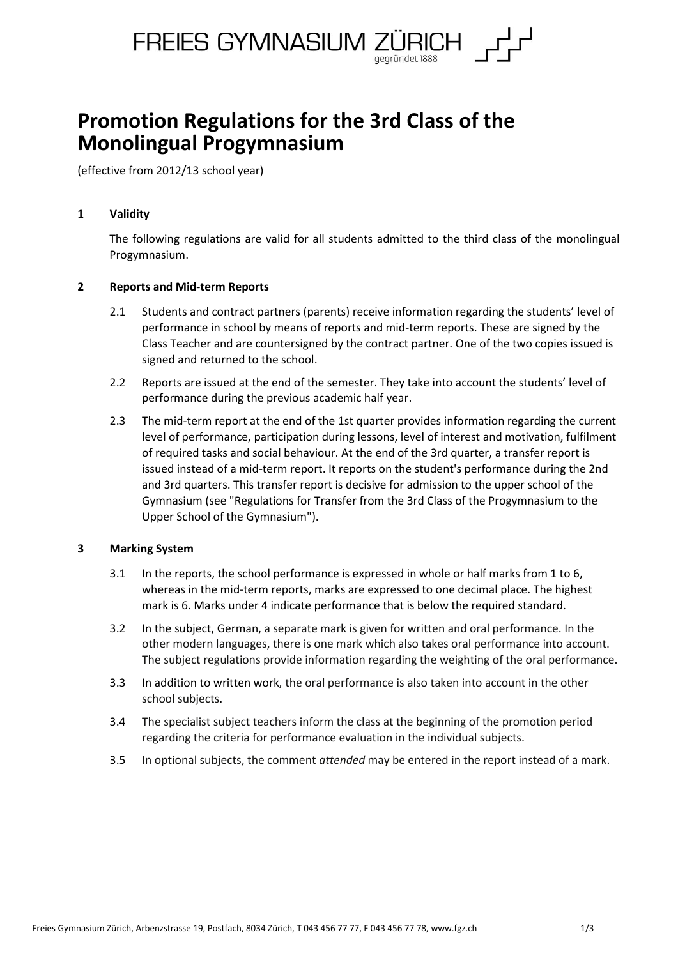

# **Promotion Regulations for the 3rd Class of the Monolingual Progymnasium**

(effective from 2012/13 school year)

### **1 Validity**

The following regulations are valid for all students admitted to the third class of the monolingual Progymnasium.

## **2 Reports and Mid-term Reports**

- 2.1 Students and contract partners (parents) receive information regarding the students' level of performance in school by means of reports and mid-term reports. These are signed by the Class Teacher and are countersigned by the contract partner. One of the two copies issued is signed and returned to the school.
- 2.2 Reports are issued at the end of the semester. They take into account the students' level of performance during the previous academic half year.
- 2.3 The mid-term report at the end of the 1st quarter provides information regarding the current level of performance, participation during lessons, level of interest and motivation, fulfilment of required tasks and social behaviour. At the end of the 3rd quarter, a transfer report is issued instead of a mid-term report. It reports on the student's performance during the 2nd and 3rd quarters. This transfer report is decisive for admission to the upper school of the Gymnasium (see "Regulations for Transfer from the 3rd Class of the Progymnasium to the Upper School of the Gymnasium").

### **3 Marking System**

- 3.1 In the reports, the school performance is expressed in whole or half marks from 1 to 6, whereas in the mid-term reports, marks are expressed to one decimal place. The highest mark is 6. Marks under 4 indicate performance that is below the required standard.
- 3.2 In the subject, German, a separate mark is given for written and oral performance. In the other modern languages, there is one mark which also takes oral performance into account. The subject regulations provide information regarding the weighting of the oral performance.
- 3.3 In addition to written work, the oral performance is also taken into account in the other school subjects.
- 3.4 The specialist subject teachers inform the class at the beginning of the promotion period regarding the criteria for performance evaluation in the individual subjects.
- 3.5 In optional subjects, the comment *attended* may be entered in the report instead of a mark.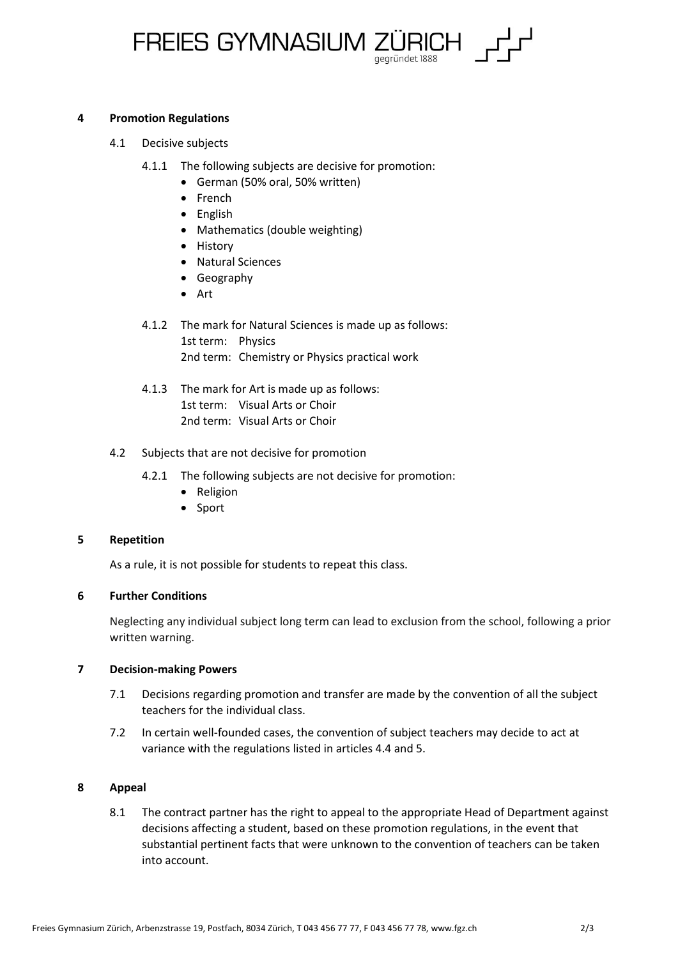

#### **4 Promotion Regulations**

- 4.1 Decisive subjects
	- 4.1.1 The following subjects are decisive for promotion:
		- German (50% oral, 50% written)
		- French
		- English
		- Mathematics (double weighting)
		- History
		- Natural Sciences
		- Geography
		- Art
	- 4.1.2 The mark for Natural Sciences is made up as follows: 1st term: Physics 2nd term: Chemistry or Physics practical work
	- 4.1.3 The mark for Art is made up as follows: 1st term: Visual Arts or Choir 2nd term: Visual Arts or Choir

### 4.2 Subjects that are not decisive for promotion

- 4.2.1 The following subjects are not decisive for promotion:
	- Religion
	- Sport

### **5 Repetition**

As a rule, it is not possible for students to repeat this class.

### **6 Further Conditions**

Neglecting any individual subject long term can lead to exclusion from the school, following a prior written warning.

## **7 Decision-making Powers**

- 7.1 Decisions regarding promotion and transfer are made by the convention of all the subject teachers for the individual class.
- 7.2 In certain well-founded cases, the convention of subject teachers may decide to act at variance with the regulations listed in articles 4.4 and 5.

### **8 Appeal**

8.1 The contract partner has the right to appeal to the appropriate Head of Department against decisions affecting a student, based on these promotion regulations, in the event that substantial pertinent facts that were unknown to the convention of teachers can be taken into account.